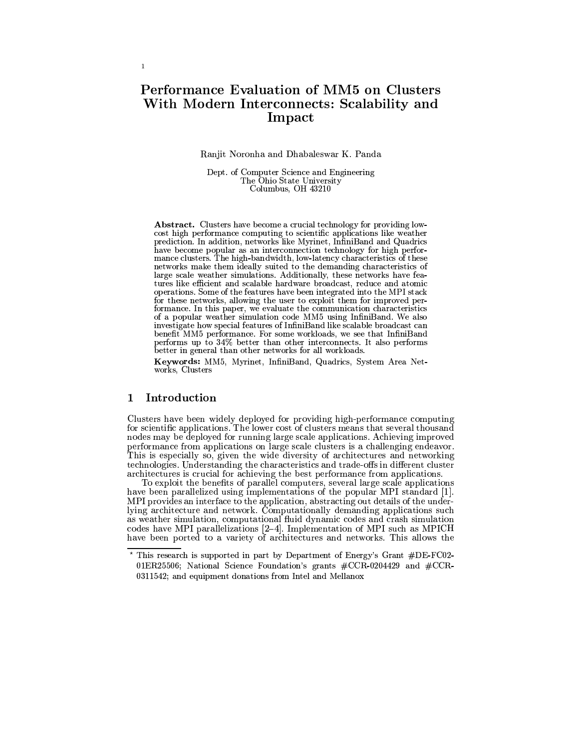# **Performance Evaluation of MM5 on Clusters** With Modern Interconnects: Scalability and Impact

### Ranjit Noronha and Dhabaleswar K. Panda

Dept. of Computer Science and Engineering The Ohio State University Columbus, OH 43210

**Abstract.** Clusters have become a crucial technology for providing lowcost high performance computing to scientific applications like weather prediction. In addition, networks like Myrinet, InfiniBand and Quadrics have become popular as an interconnection technology for high performance clusters. The high-bandwidth, low-latency characteristics of these networks make them ideally suited to the demanding characteristics of large scale weather simulations. Additionally, these networks have features like efficient and scalable hardware broadcast, reduce and atomic operations. Some of the features have been integrated into the MPI stack for these networks, allowing the user to exploit them for improved performance. In this paper, we evaluate the communication characteristics of a popular weather simulation code MM5 using InfiniBand. We also investigate how special features of InfiniBand like scalable broadcast can benefit MM5 performance. For some workloads, we see that InfiniBand performs up to 34% better than other interconnects. It also performs better in general than other networks for all workloads.

Keywords: MM5, Myrinet, InfiniBand, Quadrics, System Area Networks, Clusters

#### $\mathbf{1}$ Introduction

Clusters have been widely deployed for providing high-performance computing<br>for scientific applications. The lower cost of clusters means that several thousand nodes may be deployed for running large scale applications. Achieving improved performance from applications on large scale clusters is a challenging endeavor. This is especially so, given the wide diversity of architectures and networking technologies. Understanding the characteristics and trade-offs in different cluster architectures is crucial for achieving the best performance from applications.

To exploit the benefits of parallel computers, several large scale applications have been parallelized using implementations of the popular MPI standard [1]. MPI provides an interface to the application, abstracting out details of the underlying architecture and network. Computationally demanding applications such as weather simulation, computational fluid dynamic codes and crash simulation codes have MPI parallelizations  $[2-4]$ . Implementation of MPI such as MPICH have been ported to a variety of architectures and networks. This

<sup>\*</sup> This research is supported in part by Department of Energy's Grant #DE-FC02-01ER25506; National Science Foundation's grants #CCR-0204429 and #CCR-0311542; and equipment donations from Intel and Mellanox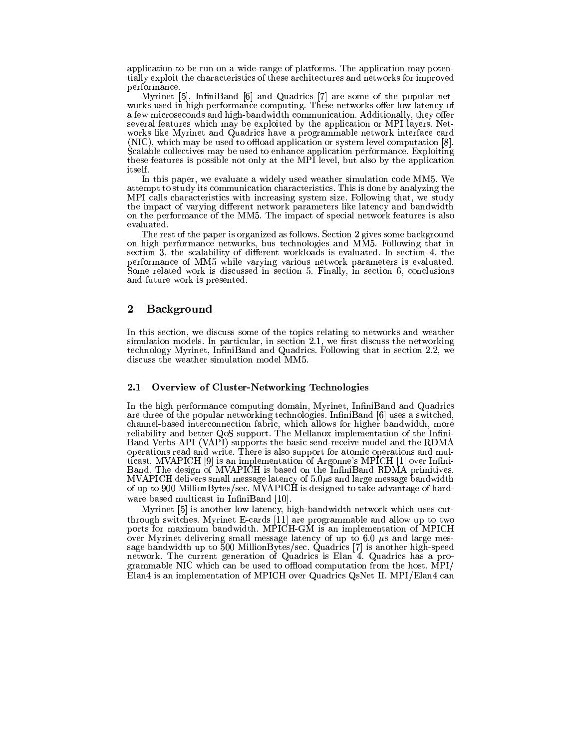application to be run on a wide-range of platforms. The application may potentially exploit the characteristics of these architectures and networks for improved performance.

Myrinet [5], InfiniBand [6] and Quadrics [7] are some of the popular networks used in high performance computing. These networks offer low latency of a few microseconds and high-bandwidth communication. Additionally, they offer several features which may be exploited by the application or MPI layers. Networks like Myrinet and Quadrics have a programmable network interface card (NIC), which may be used to offload application or system level computation [8]. Scalable collectives may be used to enhance application performance. Exploiting these features is possible not only at the MPI level, but also by the application itself.

In this paper, we evaluate a widely used weather simulation code MM5. We attempt to study its communication characteristics. This is done by analyzing the MPI calls characteristics with increasing system size. Following that, we study the impact of varying different network parameters like latency and bandwidth on the performance of the MM5. The impact of special network features is also evaluated.

The rest of the paper is organized as follows. Section 2 gives some background on high performance networks, bus technologies and MM5. Following that in section 3, the scalability of different workloads is evaluated. In section 4, the performance of MM5 while varying various network parameters is evaluated. Some related work is discussed in section 5. Finally, in section 6, conclusions and future work is presented.

### $\mathbf 2$ **Background**

In this section, we discuss some of the topics relating to networks and weather simulation models. In particular, in section 2.1, we first discuss the networking technology Myrinet, InfiniBand and Quadrics. Following that in section 2.2, we discuss the weather simulation model MM5.

#### **Overview of Cluster-Networking Technologies**  $2.1$

In the high performance computing domain, Myrinet, InfiniBand and Quadrics are three of the popular networking technologies. InfiniBand [6] uses a switched, channel-based interconnection fabric, which allows for higher bandwidth, more reliability and better QoS support. The Mellanox implementation of the Infini-Band Verbs API (VAPI) supports the basic send-receive model and the RDMA operations read and write. There is also support for atomic operations and multicast. MVAPICH [9] is an implementation of Argonne's MPICH [1] over Infini-Band. The design of MVAPICH is based on the InfiniBand RDMA primitives. MVAPICH delivers small message latency of  $5.0\mu s$  and large message bandwidth of up to 900 MillionBytes/sec. MVAPICH is designed to take advantage of hardware based multicast in InfiniBand [10].

Myrinet [5] is another low latency, high-bandwidth network which uses cutthrough switches. Myrinet E-cards [11] are programmable and allow up to two ports for maximum bandwidth. MPICH-GM is an implementation of MPICH over Myrinet delivering small message latency of up to 6.0  $\mu$ s and large message bandwidth up to 500 MillionBytes/sec. Quadrics [7] is another high-speed network. The current generation of Quadrics is Elan 4. Quadrics has a programmable NIC which can be used to offload computation from the host. MPI/ Elan4 is an implementation of MPICH over Quadrics QsNet II. MPI/Elan4 can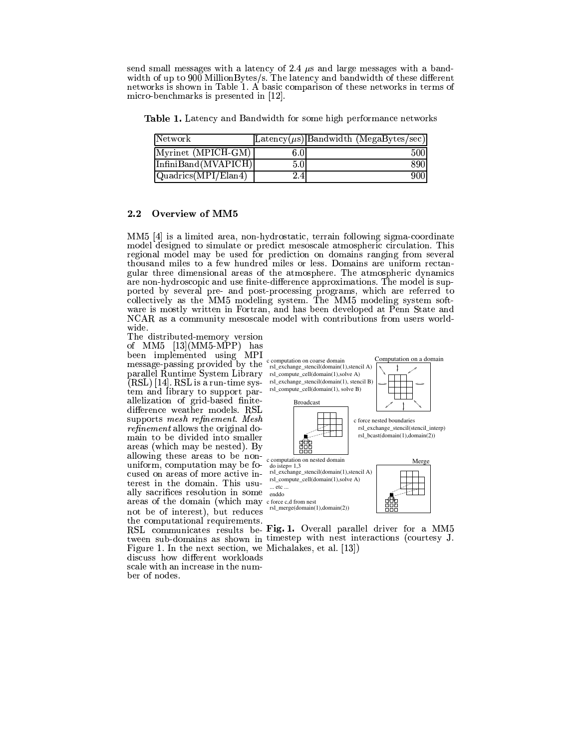send small messages with a latency of 2.4  $\mu$ s and large messages with a bandwidth of up to 900 MillionBytes/s. The latency and bandwidth of these different networks is shown in Table 1. A basic comparison of these networks in terms of micro-benchmarks is presented in  $|12|$ .

**Table 1.** Latency and Bandwidth for some high performance networks

| Network                                                                       |                  | $ \text{Latency}(\mu s) $ Bandwidth (MegaBytes/sec) |
|-------------------------------------------------------------------------------|------------------|-----------------------------------------------------|
| Myrinet (MPICH-GM)                                                            | 6.0 <sub>1</sub> | 5001                                                |
| $\ln \frac{\text{finiBand}(\text{MVAPICH})}{\text{Ini Band}(\text{MVAPICH})}$ | 5.0              | 8901                                                |
| $\sqrt{\text{Quadrics}(\overline{\text{MPI}}/\text{Elan4})}$                  | 2.4              | 900                                                 |

### $2.2$ Overview of MM5

MM5  $[4]$  is a limited area, non-hydrostatic, terrain following sigma-coordinate model designed to simulate or predict mesoscale atmospheric circulation. This regional model may be used for prediction on domains ranging from several<br>thousand miles to a few hundred miles or less. Domains are uniform rectangular three dimensional areas of the atmosphere. The atmospheric dynamics are non-hydroscopic and use finite-difference approximations. The model is supported by several pre- and post-processing programs, which are referred to collectively as the MM5 modeling system. The MM5 modeling system software is mostly written in Fortran, and has been developed at Penn State and NCAR as a community mesoscale model with contributions from users worldwide.

The distributed-memory version of MM5  $[13]$ (MM5-MPP) has been implemented using MPI message-passing provided by the rsl\_exchange\_stencil(domain(1),stencil A) parallel Runtime System Library  $(RSL)$  [14]. RSL is a run-time sys-  $rsl$ -exchange\_stencil(domain(1), stencil B) tem and library to support parallelization of grid-based finitedifference weather models. RSL supports mesh refinement. Mesh *refinement* allows the original domain to be divided into smaller areas (which may be nested). By allowing these areas to be nonuniform, computation may be focused on areas of more active interest in the domain. This usually sacrifices resolution in some areas of the domain (which may cforce c,d from nest not be of interest), but reduces the computational requirements. Figure 1. In the next section, we Michalakes, et al. [13]) discuss how different workloads scale with an increase in the number of nodes.



RSL communicates results be Fig. 1. Overall parallel driver for a MM5 tween sub-domains as shown in timestep with nest interactions (courtesy J.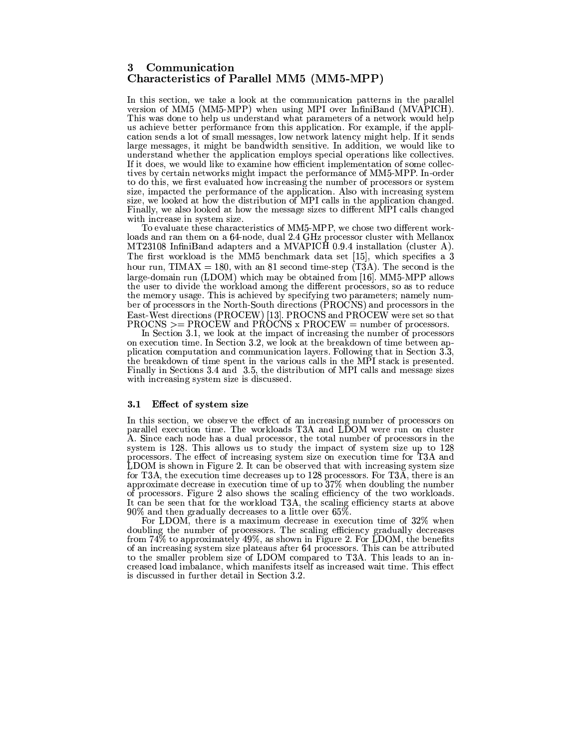### Communication 3 Characteristics of Parallel MM5 (MM5-MPP)

In this section, we take a look at the communication patterns in the parallel version of MM5 (MM5-MPP) when using MPI over InfiniBand (MVAPICH). This was done to help us understand what parameters of a network would help us achieve better performance from this application. For example, if the application sends a lot of small messages, low network latency might help. If it sends large messages, it might be bandwidth sensitive. In addition, we would like to understand whether the application employs special operations like collectives. If it does, we would like to examine how efficient implementation of some collectives by certain networks might impact the performance of MM5-MPP. In-order to do this, we first evaluated how increasing the number of processors or system size, impacted the performance of the application. Also with increasing system size, we looked at how the distribution of MPI calls in the application changed. Finally, we also looked at how the message sizes to different MPI calls changed with increase in system size.

To evaluate these characteristics of MM5-MPP, we chose two different workloads and ran them on a 64-node, dual 2.4 GHz processor cluster with Mellanox MT23108 InfiniBand adapters and a MVAPICH 0.9.4 installation (cluster A). The first workload is the MM5 benchmark data set [15], which specifies a 3 hour run, TIMAX = 180, with an 81 second time-step  $(T3A)$ . The second is the large-domain run (LDOM) which may be obtained from [16]. MM5-MPP allows the user to divide the workload among the different processors, so as to reduce the memory usage. This is achieved by specifying two parameters; namely number of processors in the North-South directions (PROCNS) and processors in the East-West directions (PROCEW) [13]. PROCNS and PROCEW were set so that PROCNS  $>=$  PROCEW and PROCNS x PROCEW = number of processors.

In Section 3.1, we look at the impact of increasing the number of processors on execution time. In Section 3.2, we look at the breakdown of time between application computation and communication layers. Following that in Section 3.3, the breakdown of time spent in the various calls in the MPI stack is presented. Finally in Sections 3.4 and 3.5, the distribution of MPI calls and message sizes with increasing system size is discussed.

### 3.1 Effect of system size

In this section, we observe the effect of an increasing number of processors on parallel execution time. The workloads T3A and LDOM were run on cluster A. Since each node has a dual processor, the total number of processors in the system is 128. This allows us to study the impact of system size up to 128 processors. The effect of increasing system size on execution time for T3A and LDOM is shown in Figure 2. It can be observed that with increasing system size for T3A, the execution time decreases up to 128 processors. For T3A, there is an approximate decrease in execution time of up to 37% when doubling the number of processors. Figure 2 also shows the scaling efficiency of the two workloads. It can be seen that for the workload T3A, the scaling efficiency starts at above  $90\%$  and then gradually decreases to a little over 65%.

For LDOM, there is a maximum decrease in execution time of 32% when doubling the number of processors. The scaling efficiency gradually decreases from  $74\%$  to approximately  $49\%$ , as shown in Figure 2. For LDOM, the benefits of an increasing system size plateaus after 64 processors. This can be attributed to the smaller problem size of LDOM compared to T3A. This leads to an increased load imbalance, which manifests itself as increased wait time. This effect is discussed in further detail in Section 3.2.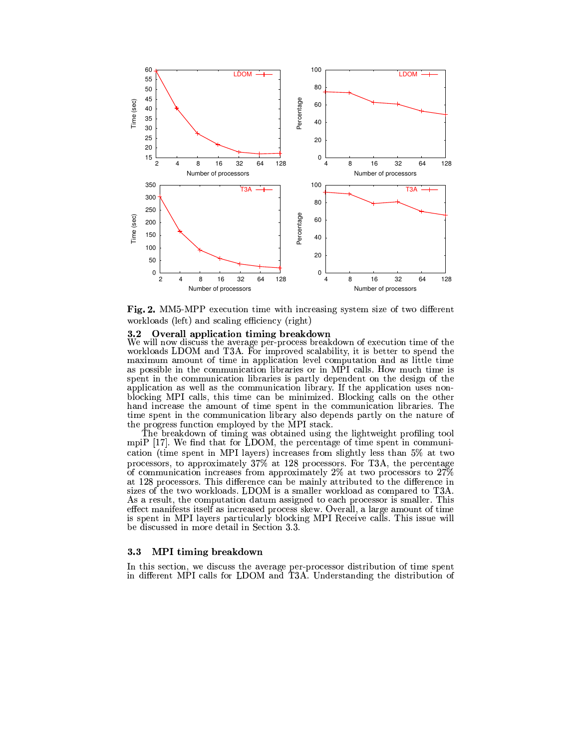

Fig. 2. MM5-MPP execution time with increasing system size of two different workloads (left) and scaling efficiency (right)

#### Overall application timing breakdown  $3.2$

We will now discuss the average per-process breakdown of execution time of the workloads LDOM and T3A. For improved scalability, it is better to spend the maximum amount of time in application level computation and as little time as possible in the communication libraries or in MPI calls. How much time is spent in the communication libraries is partly dependent on the design of the application as well as the communication library. If the application uses nonblocking MPI calls, this time can be minimized. Blocking calls on the other hand increase the amount of time spent in the communication libraries. The time spent in the communication library also depends partly on the nature of the progress function employed by the MPI stack.

The breakdown of timing was obtained using the lightweight profiling tool mpiP  $[17]$ . We find that for LDOM, the percentage of time spent in communication (time spent in MPI layers) increases from slightly less than 5% at two processors, to approximately 37% at 128 processors. For T3A, the percentage of communication increases from approximately 2% at two processors to 27% at 128 processors. This difference can be mainly attributed to the difference in sizes of the two workloads. LDOM is a smaller workload as compared to T3A. As a result, the computation datum assigned to each processor is smaller. This effect manifests itself as increased process skew. Overall, a large amount of time is spent in MPI layers particularly blocking MPI Receive calls. This issue will be discussed in more detail in Section 3.3.

#### $3.3$ MPI timing breakdown

In this section, we discuss the average per-processor distribution of time spent in different MPI calls for LDOM and T3A. Understanding the distribution of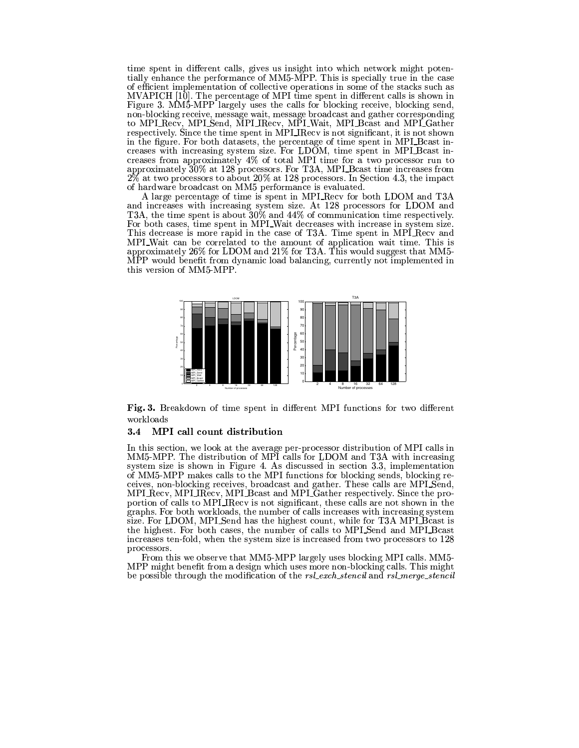time spent in different calls, gives us insight into which network might potentially enhance the performance of MM5-MPP. This is specially true in the case of efficient implementation of collective operations in some of the stacks such as MVAPICH [10]. The percentage of MPI time spent in different calls is shown in Figure 3. MM5-MPP largely uses the calls for blocking receive, blocking send, non-blocking receive, message wait, message broadcast and gather corresponding to MPI Recv, MPI Send, MPI IRecv, MPI Wait, MPI Beast and MPI Gather<br>respectively. Since the time spent in MPI IRecv is not significant, it is not shown in the figure. For both datasets, the percentage of time spent in MPI\_Bcast increases with increasing system size. For LDOM, time spent in MPI Bcast increases from approximately 4% of total MPI time for a two processor run to approximately 30% at 128 processors. For T3A, MPI\_Bcast time increases from  $2\%$  at two processors to about  $20\%$  at 128 processors. In Section 4.3, the impact of hardware broadcast on MM5 performance is evaluated.

A large percentage of time is spent in MPI Recv for both LDOM and T3A and increases with increasing system size. At 128 processors for LDOM and T3A, the time spent is about  $30\%$  and  $44\%$  of communication time respectively. For both cases, time spent in MPI\_Wait decreases with increase in system size. This decrease is more rapid in the case of T3A. Time spent in MPI Recv and MPI\_Wait can be correlated to the amount of application wait time. This is approximately 26% for LDOM and  $21\%$  for T3A. This would suggest that MM5-MPP would benefit from dynamic load balancing, currently not implemented in this version of MM5-MPP.



Fig. 3. Breakdown of time spent in different MPI functions for two different workloads

### 3.4 MPI call count distribution

In this section, we look at the average per-processor distribution of MPI calls in MM5-MPP. The distribution of MPI calls for LDOM and T3A with increasing system size is shown in Figure 4. As discussed in section 3.3, implementation of MM5-MPP makes calls to the MPI functions for blocking sends, blocking receives, non-blocking receives, broadcast and gather. These calls are MPLSend, MPI\_Recv, MPI\_IRecv, MPI\_Bcast and MPI\_Gather respectively. Since the proportion of calls to MPI\_IRecv is not significant, these calls are not shown in the graphs. For both workloads, the number of calls increases with increasing system size. For LDOM, MPLSend has the highest count, while for T3A MPLB cast is the highest. For both cases, the number of calls to MPI\_Send and MPI\_Bcast increases ten-fold, when the system size is increased from two processors to 128 processors.

From this we observe that MM5-MPP largely uses blocking MPI calls. MM5-MPP might benefit from a design which uses more non-blocking calls. This might be possible through the modification of the rsl\_exch\_stencil and rsl\_merge\_stencil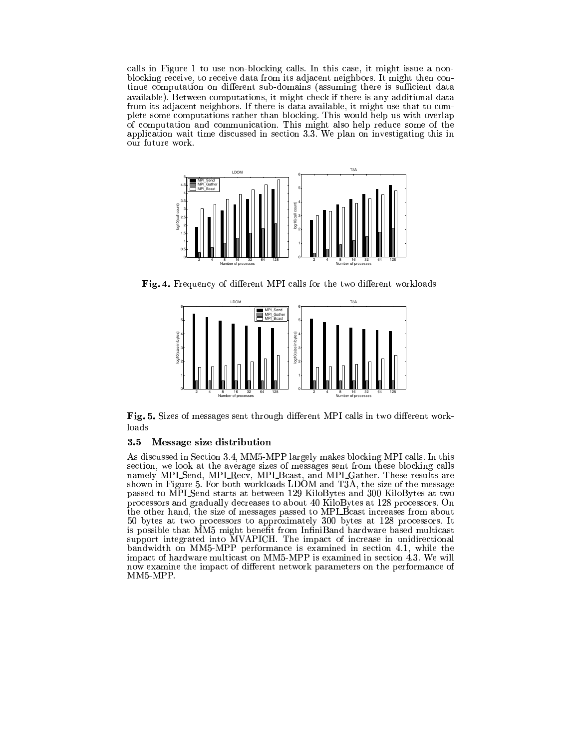calls in Figure 1 to use non-blocking calls. In this case, it might issue a nonblocking receive, to receive data from its adjacent neighbors. It might then continue computation on different sub-domains (assuming there is sufficient data available). Between computations, it might check if there is any additional data from its adjacent neighbors. If there is data available, it might use that to complete some computations rather than blocking. This would help us with overlap of computation and communication. This might also help reduce some of the application wait time discussed in section 3.3. We plan on investigating this in our future work.



Fig. 4. Frequency of different MPI calls for the two different workloads



Fig. 5. Sizes of messages sent through different MPI calls in two different workloads

#### $3.5$ Message size distribution

As discussed in Section 3.4, MM5-MPP largely makes blocking MPI calls. In this section, we look at the average sizes of messages sent from these blocking calls namely MPL\_Send, MPL\_Recv, MPL\_Bcast, and MPL\_Gather. These results are shown in Figure 5. For both workloads LDOM and T3A, the size of the message passed to MPI Send starts at between 129 KiloBytes and 300 KiloBytes at two processors and gradually decreases to about 40 KiloBytes at 128 processors. On the other hand, the size of messages passed to MPLBcast increases from about 50 bytes at two processors to approximately 300 bytes at 128 processors. It is possible that MM5 might benefit from InfiniBand hardware based multicast support integrated into MVAPICH. The impact of increase in unidirectional bandwidth on MM5-MPP performance is examined in section 4.1, while the impact of hardware multicast on MM5-MPP is examined in section  $\overline{4.3}$ . We will now examine the impact of different network parameters on the performance of MM5-MPP.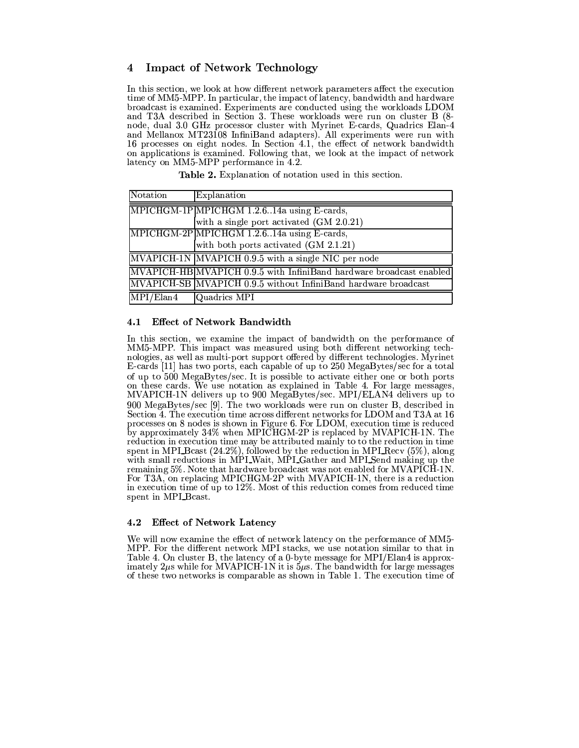### **Impact of Network Technology** 4

In this section, we look at how different network parameters affect the execution time of MM5-MPP. In particular, the impact of latency, bandwidth and hardware broadcast is examined. Experiments are conducted using the workloads LDOM and T3A described in Section 3. These workloads were run on cluster B (8node, dual 3.0 GHz processor cluster with Myrinet E-cards, Quadrics Elan-4 and Mellanox MT23108 InfiniBand adapters). All experiments were run with 16 processes on eight nodes. In Section 4.1, the effect of network bandwidth on applications is examined. Following that, we look at the impact of network latency on MM5-MPP performance in 4.2.

| Notation  | Explanation                                                         |
|-----------|---------------------------------------------------------------------|
|           | MPICHGM-1P MPICHGM 1.2.614a using E-cards,                          |
|           | with a single port activated (GM 2.0.21)                            |
|           | MPICHGM-2P MPICHGM 1.2.614a using E-cards,                          |
|           | with both ports activated (GM 2.1.21)                               |
|           | MVAPICH-1N MVAPICH 0.9.5 with a single NIC per node                 |
|           | MVAPICH-HB MVAPICH 0.9.5 with InfiniBand hardware broadcast enabled |
|           | MVAPICH-SB MVAPICH 0.9.5 without InfiniBand hardware broadcast      |
| MPI/Elan4 | Quadrics MPI                                                        |

**Table 2.** Explanation of notation used in this section.

# 4.1 Effect of Network Bandwidth

In this section, we examine the impact of bandwidth on the performance of MM5-MPP. This impact was measured using both different networking technologies, as well as multi-port support offered by different technologies. Myrinet E-cards [11] has two ports, each capable of up to 250 MegaBytes/sec for a total of up to 500 MegaBytes/sec. It is possible to activate either one or both ports on these cards. We use notation as explained in Table 4. For large messages, MVAPICH-1N delivers up to 900 MegaBytes/sec. MPI/ELAN4 delivers up to 900 MegaBytes/sec [9]. The two workloads were run on cluster B, described in Section 4. The execution time across different networks for LDOM and T3A at 16 processes on 8 nodes is shown in Figure 6. For LDOM, execution time is reduced by approximately 34% when MPICHGM-2P is replaced by MVAPICH-1N. The reduction in execution time may be attributed mainly to to the reduction in time spent in MPI Bcast  $(24.2\%)$ , followed by the reduction in MPI Recv  $(5\%)$ , along with small reductions in MPI\_Wait, MPI\_Gather and MPI\_Send making up the remaining 5%. Note that hardware broadcast was not enabled for MVAPICH-1N. For T3A, on replacing MPICHGM-2P with MVAPICH-1N, there is a reduction<br>in execution time of up to 12%. Most of this reduction comes from reduced time spent in MPI\_Bcast.

### $4.2$ **Effect of Network Latency**

We will now examine the effect of network latency on the performance of MM5-MPP. For the different network MPI stacks, we use notation similar to that in Table 4. On cluster B, the latency of a 0-byte message for MPI/Elan4 is approximately 2µs while for MVAPICH-1N it is  $5\mu s$ . The bandwidth for large messages of these two networks is comparable as shown in Table 1. The execution time of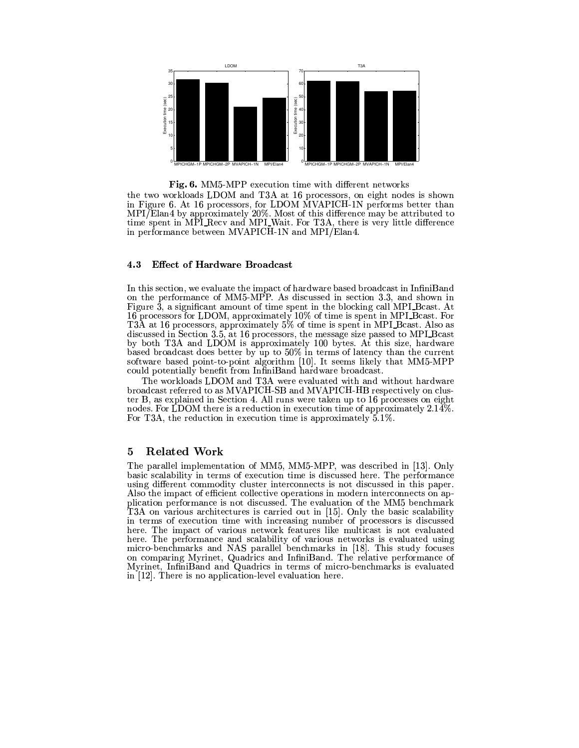

Fig. 6. MM5-MPP execution time with different networks

the two workloads LDOM and T3A at 16 processors, on eight nodes is shown in Figure 6. At 16 processors, for LDOM MVAPICH-1N performs better than<br>MPI/Elan4 by approximately 20%. Most of this difference may be attributed to<br>time spent in MPI-Recv and MPI-Wait. For T3A, there is very little differ in performance between MVAPICH-1N and MPI/Elan4.

### 4.3 **Effect of Hardware Broadcast**

In this section, we evaluate the impact of hardware based broadcast in InfiniBand on the performance of MM5-MPP. As discussed in section 3.3, and shown in Figure 3, a significant amount of time spent in the blocking call MPI-Beast. At 16 processors for LDOM, approximately 10% of time is spent in MPI Bcast. For T3A at 16 processors, approximately 5% of time is spent in MPI Bcast. Also as discussed in Section 3.5, at 16 processors, the message size passed to MPI\_Bcast<br>by both T3A and LDOM is approximately 100 bytes. At this size, hardware based broadcast does better by up to 50% in terms of latency than the current software based point-to-point algorithm [10]. It seems likely that MM5-MPP could potentially benefit from InfiniBand hardware broadcast.

The workloads LDOM and T3A were evaluated with and without hardware broadcast referred to as MVAPICH-SB and MVAPICH-HB respectively on cluster B, as explained in Section 4. All runs were taken up to 16 processes on eight nodes. For LDOM there is a reduction in execution time of approximately  $2.14\%$ . For T3A, the reduction in execution time is approximately  $5.1\%$ .

### 5 **Related Work**

The parallel implementation of MM5, MM5-MPP, was described in [13]. Only basic scalability in terms of execution time is discussed here. The performance using different commodity cluster interconnects is not discussed in this paper. Also the impact of efficient collective operations in modern interconnects on application performance is not discussed. The evaluation of the MM5 benchmark T3A on various architectures is carried out in [15]. Only the basic scalability in terms of execution time with increasing number of processors is discussed here. The impact of various network features like multicast is not evaluated here. The performance and scalability of various networks is evaluated using micro-benchmarks and NAS parallel benchmarks in [18]. This study focuses<br>on comparing Myrinet, Quadrics and InfiniBand. The relative performance of Myrinet, InfiniBand and Quadrics in terms of micro-benchmarks is evaluated in [12]. There is no application-level evaluation here.